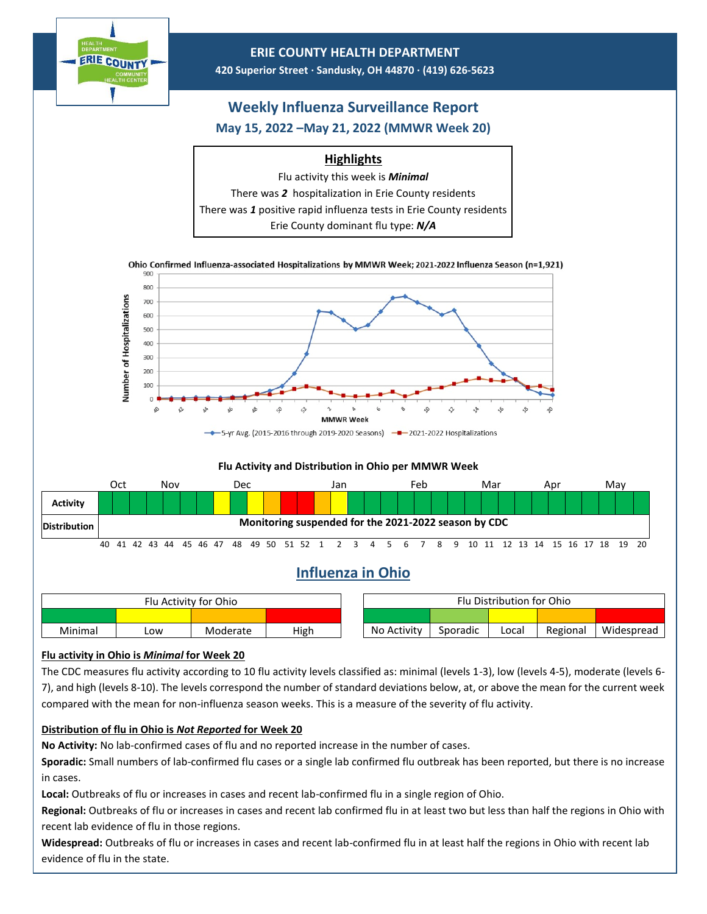

The CDC measures flu activity according to 10 flu activity levels classified as: minimal (levels 1-3), low (levels 4-5), moderate (levels 6- 7), and high (levels 8-10). The levels correspond the number of standard deviations below, at, or above the mean for the current week compared with the mean for non-influenza season weeks. This is a measure of the severity of flu activity.

## **Distribution of flu in Ohio is** *Not Reported* **for Week 20**

**No Activity:** No lab-confirmed cases of flu and no reported increase in the number of cases.

**Sporadic:** Small numbers of lab-confirmed flu cases or a single lab confirmed flu outbreak has been reported, but there is no increase in cases.

**Local:** Outbreaks of flu or increases in cases and recent lab-confirmed flu in a single region of Ohio.

**Regional:** Outbreaks of flu or increases in cases and recent lab confirmed flu in at least two but less than half the regions in Ohio with recent lab evidence of flu in those regions.

**Widespread:** Outbreaks of flu or increases in cases and recent lab-confirmed flu in at least half the regions in Ohio with recent lab evidence of flu in the state.